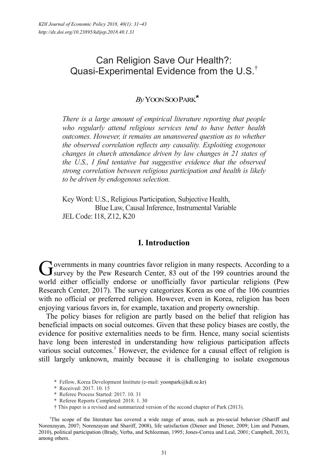# Can Religion Save Our Health?: Quasi-Experimental Evidence from the U.S.<sup>†</sup>

## *By* YOON SOO PARK\*

*There is a large amount of empirical literature reporting that people who regularly attend religious services tend to have better health outcomes. However, it remains an unanswered question as to whether the observed correlation reflects any causality. Exploiting exogenous changes in church attendance driven by law changes in 21 states of the U.S., I find tentative but suggestive evidence that the observed strong correlation between religious participation and health is likely to be driven by endogenous selection.* 

Key Word: U.S., Religious Participation, Subjective Health, Blue Law, Causal Inference, Instrumental Variable JEL Code: I18, Z12, K20

### **I. Introduction**

Yovernments in many countries favor religion in many respects. According to a Governments in many countries favor religion in many respects. According to a survey by the Pew Research Center, 83 out of the 199 countries around the world either officially endorse or unofficially favor particular religions (Pew Research Center, 2017). The survey categorizes Korea as one of the 106 countries with no official or preferred religion. However, even in Korea, religion has been enjoying various favors in, for example, taxation and property ownership.

The policy biases for religion are partly based on the belief that religion has beneficial impacts on social outcomes. Given that these policy biases are costly, the evidence for positive externalities needs to be firm. Hence, many social scientists have long been interested in understanding how religious participation affects various social outcomes.<sup>1</sup> However, the evidence for a causal effect of religion is still largely unknown, mainly because it is challenging to isolate exogenous

<sup>\*</sup> Fellow, Korea Development Institute (e-mail: yoonpark@kdi.re.kr)

<sup>\*</sup> Received: 2017. 10. 15

<sup>\*</sup> Referee Process Started: 2017. 10. 31

<sup>\*</sup> Referee Reports Completed: 2018. 1. 30

<sup>†</sup> This paper is a revised and summarized version of the second chapter of Park (2013).

<sup>&</sup>lt;sup>1</sup>The scope of the literature has covered a wide range of areas, such as pro-social behavior (Shariff and Norenzayan, 2007; Norenzayan and Shariff, 2008), life satisfaction (Diener and Diener, 2009; Lim and Putnam, 2010), political participation (Brady, Verba, and Schlozman, 1995; Jones-Correa and Leal, 2001; Campbell, 2013), among others.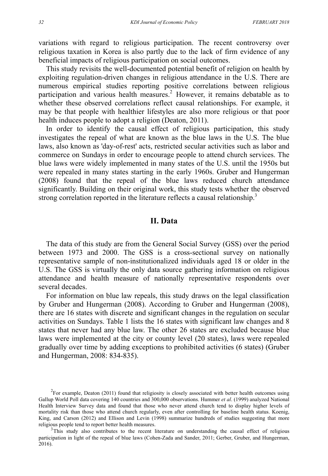variations with regard to religious participation. The recent controversy over religious taxation in Korea is also partly due to the lack of firm evidence of any beneficial impacts of religious participation on social outcomes.

This study revisits the well-documented potential benefit of religion on health by exploiting regulation-driven changes in religious attendance in the U.S. There are numerous empirical studies reporting positive correlations between religious participation and various health measures.<sup>2</sup> However, it remains debatable as to whether these observed correlations reflect causal relationships. For example, it may be that people with healthier lifestyles are also more religious or that poor health induces people to adopt a religion (Deaton, 2011).

In order to identify the causal effect of religious participation, this study investigates the repeal of what are known as the blue laws in the U.S. The blue laws, also known as 'day-of-rest' acts, restricted secular activities such as labor and commerce on Sundays in order to encourage people to attend church services. The blue laws were widely implemented in many states of the U.S. until the 1950s but were repealed in many states starting in the early 1960s. Gruber and Hungerman (2008) found that the repeal of the blue laws reduced church attendance significantly. Building on their original work, this study tests whether the observed strong correlation reported in the literature reflects a causal relationship.<sup>3</sup>

### **II. Data**

The data of this study are from the General Social Survey (GSS) over the period between 1973 and 2000. The GSS is a cross-sectional survey on nationally representative sample of non-institutionalized individuals aged 18 or older in the U.S. The GSS is virtually the only data source gathering information on religious attendance and health measure of nationally representative respondents over several decades.

For information on blue law repeals, this study draws on the legal classification by Gruber and Hungerman (2008). According to Gruber and Hungerman (2008), there are 16 states with discrete and significant changes in the regulation on secular activities on Sundays. Table 1 lists the 16 states with significant law changes and 8 states that never had any blue law. The other 26 states are excluded because blue laws were implemented at the city or county level (20 states), laws were repealed gradually over time by adding exceptions to prohibited activities (6 states) (Gruber and Hungerman, 2008: 834-835).

 $2$ For example, Deaton (2011) found that religiosity is closely associated with better health outcomes using Gallup World Poll data covering 140 countries and 300,000 observations. Hummer *et al*. (1999) analyzed National Health Interview Survey data and found that those who never attend church tend to display higher levels of mortality risk than those who attend church regularly, even after controlling for baseline health status. Koenig, King, and Carson (2012) and Ellison and Levin (1998) summarize hundreds of studies suggesting that more religious people tend to report better health measures. 3

<sup>&</sup>lt;sup>3</sup>This study also contributes to the recent literature on understanding the causal effect of religious participation in light of the repeal of blue laws (Cohen-Zada and Sander, 2011; Gerber, Gruber, and Hungerman, 2016).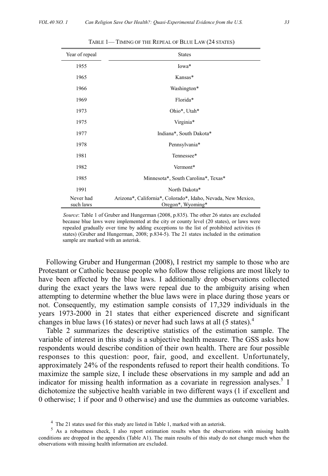| Year of repeal         | <b>States</b>                                                                     |
|------------------------|-----------------------------------------------------------------------------------|
| 1955                   | Iowa*                                                                             |
| 1965                   | Kansas*                                                                           |
| 1966                   | Washington*                                                                       |
| 1969                   | Florida*                                                                          |
| 1973                   | Ohio*, Utah*                                                                      |
| 1975                   | Virginia*                                                                         |
| 1977                   | Indiana*, South Dakota*                                                           |
| 1978                   | Pennsylvania*                                                                     |
| 1981                   | Tennessee*                                                                        |
| 1982                   | Vermont*                                                                          |
| 1985                   | Minnesota*, South Carolina*, Texas*                                               |
| 1991                   | North Dakota*                                                                     |
| Never had<br>such laws | Arizona*, California*, Colorado*, Idaho, Nevada, New Mexico,<br>Oregon*, Wyoming* |

TABLE 1— TIMING OF THE REPEAL OF BLUE LAW (24 STATES)

*Source*: Table 1 of Gruber and Hungerman (2008, p.835). The other 26 states are excluded because blue laws were implemented at the city or county level (20 states), or laws were repealed gradually over time by adding exceptions to the list of prohibited activities (6 states) (Gruber and Hungerman, 2008; p.834-5). The 21 states included in the estimation sample are marked with an asterisk.

Following Gruber and Hungerman (2008), I restrict my sample to those who are Protestant or Catholic because people who follow those religions are most likely to have been affected by the blue laws. I additionally drop observations collected during the exact years the laws were repeal due to the ambiguity arising when attempting to determine whether the blue laws were in place during those years or not. Consequently, my estimation sample consists of 17,329 individuals in the years 1973-2000 in 21 states that either experienced discrete and significant changes in blue laws (16 states) or never had such laws at all (5 states).<sup>4</sup>

Table 2 summarizes the descriptive statistics of the estimation sample. The variable of interest in this study is a subjective health measure. The GSS asks how respondents would describe condition of their own health. There are four possible responses to this question: poor, fair, good, and excellent. Unfortunately, approximately 24% of the respondents refused to report their health conditions. To maximize the sample size, I include these observations in my sample and add an indicator for missing health information as a covariate in regression analyses.<sup>5</sup> I dichotomize the subjective health variable in two different ways (1 if excellent and 0 otherwise; 1 if poor and 0 otherwise) and use the dummies as outcome variables.

 $^{4}$  The 21 states used for this study are listed in Table 1, marked with an asterisk.

<sup>&</sup>lt;sup>5</sup> As a robustness check, I also report estimation results when the observations with missing health conditions are dropped in the appendix (Table A1). The main results of this study do not change much when the observations with missing health information are excluded.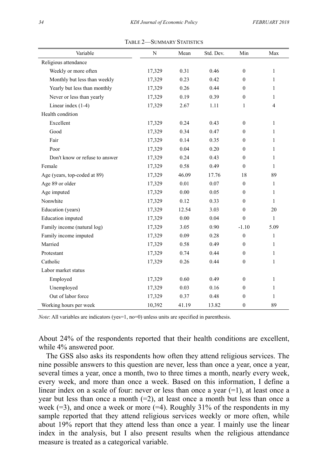| Variable                       | $\mathbf N$ | Mean  | Std. Dev. | Min              | Max            |
|--------------------------------|-------------|-------|-----------|------------------|----------------|
| Religious attendance           |             |       |           |                  |                |
| Weekly or more often           | 17,329      | 0.31  | 0.46      | $\mathbf{0}$     | $\mathbf{1}$   |
| Monthly but less than weekly   | 17,329      | 0.23  | 0.42      | $\theta$         | 1              |
| Yearly but less than monthly   | 17,329      | 0.26  | 0.44      | $\mathbf{0}$     | $\mathbf{1}$   |
| Never or less than yearly      | 17,329      | 0.19  | 0.39      | $\Omega$         | 1              |
| Linear index $(1-4)$           | 17,329      | 2.67  | 1.11      | 1                | $\overline{4}$ |
| Health condition               |             |       |           |                  |                |
| Excellent                      | 17,329      | 0.24  | 0.43      | $\theta$         | $\mathbf{1}$   |
| Good                           | 17,329      | 0.34  | 0.47      | $\theta$         | 1              |
| Fair                           | 17,329      | 0.14  | 0.35      | $\Omega$         | 1              |
| Poor                           | 17,329      | 0.04  | 0.20      | $\theta$         | 1              |
| Don't know or refuse to answer | 17,329      | 0.24  | 0.43      | $\theta$         | 1              |
| Female                         | 17,329      | 0.58  | 0.49      | $\theta$         | 1              |
| Age (years, top-coded at 89)   | 17,329      | 46.09 | 17.76     | 18               | 89             |
| Age 89 or older                | 17,329      | 0.01  | 0.07      | $\theta$         | $\mathbf{1}$   |
| Age imputed                    | 17,329      | 0.00  | 0.05      | $\theta$         | 1              |
| Nonwhite                       | 17,329      | 0.12  | 0.33      | $\theta$         | $\mathbf{1}$   |
| Education (years)              | 17,329      | 12.54 | 3.03      | $\Omega$         | 20             |
| Education imputed              | 17,329      | 0.00  | 0.04      | $\theta$         | $\mathbf{1}$   |
| Family income (natural log)    | 17,329      | 3.05  | 0.90      | $-1.10$          | 5.09           |
| Family income imputed          | 17,329      | 0.09  | 0.28      | $\mathbf{0}$     | $\mathbf{1}$   |
| Married                        | 17,329      | 0.58  | 0.49      | $\Omega$         | 1              |
| Protestant                     | 17,329      | 0.74  | 0.44      | $\mathbf{0}$     | $\mathbf{1}$   |
| Catholic                       | 17,329      | 0.26  | 0.44      | $\mathbf{0}$     | 1              |
| Labor market status            |             |       |           |                  |                |
| Employed                       | 17,329      | 0.60  | 0.49      | $\theta$         | $\mathbf{1}$   |
| Unemployed                     | 17,329      | 0.03  | 0.16      | $\mathbf{0}$     | $\mathbf{1}$   |
| Out of labor force             | 17,329      | 0.37  | 0.48      | $\theta$         | $\mathbf{1}$   |
| Working hours per week         | 10,392      | 41.19 | 13.82     | $\boldsymbol{0}$ | 89             |

TABLE 2—SUMMARY STATISTICS

*Note*: All variables are indicators (yes=1, no=0) unless units are specified in parenthesis.

About 24% of the respondents reported that their health conditions are excellent, while 4% answered poor.

The GSS also asks its respondents how often they attend religious services. The nine possible answers to this question are never, less than once a year, once a year, several times a year, once a month, two to three times a month, nearly every week, every week, and more than once a week. Based on this information, I define a linear index on a scale of four: never or less than once a year  $(=1)$ , at least once a year but less than once a month  $(=2)$ , at least once a month but less than once a week  $(=3)$ , and once a week or more  $(=4)$ . Roughly 31% of the respondents in my sample reported that they attend religious services weekly or more often, while about 19% report that they attend less than once a year. I mainly use the linear index in the analysis, but I also present results when the religious attendance measure is treated as a categorical variable.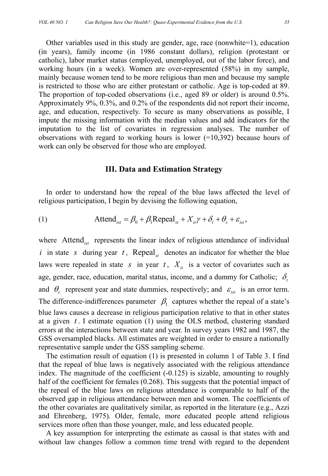Other variables used in this study are gender, age, race (nonwhite=1), education (in years), family income (in 1986 constant dollars), religion (protestant or catholic), labor market status (employed, unemployed, out of the labor force), and working hours (in a week). Women are over-represented (58%) in my sample, mainly because women tend to be more religious than men and because my sample is restricted to those who are either protestant or catholic. Age is top-coded at 89. The proportion of top-coded observations (i.e., aged 89 or older) is around 0.5%. Approximately 9%, 0.3%, and 0.2% of the respondents did not report their income, age, and education, respectively. To secure as many observations as possible, I impute the missing information with the median values and add indicators for the imputation to the list of covariates in regression analyses. The number of observations with regard to working hours is lower  $(=10,392)$  because hours of work can only be observed for those who are employed.

#### **III. Data and Estimation Strategy**

In order to understand how the repeal of the blue laws affected the level of religious participation, I begin by devising the following equation,

(1) Attend<sub>ist</sub> = 
$$
\beta_0 + \beta_1 \text{Repeal}_{st} + X_{it}\gamma + \delta_t + \theta_s + \varepsilon_{ist}
$$
,

where Attend<sub>ist</sub> represents the linear index of religious attendance of individual *i* in state *s* during year *t*, Repeal<sub>st</sub> denotes an indicator for whether the blue laws were repealed in state *s* in year *t*,  $X_{it}$  is a vector of covariates such as age, gender, race, education, marital status, income, and a dummy for Catholic;  $\delta_t$ and  $\theta_{\rm s}$  represent year and state dummies, respectively; and  $\varepsilon_{\rm ist}$  is an error term. The difference-indifferences parameter  $\beta_1$  captures whether the repeal of a state's blue laws causes a decrease in religious participation relative to that in other states at a given *t* . I estimate equation (1) using the OLS method, clustering standard errors at the interactions between state and year. In survey years 1982 and 1987, the GSS oversampled blacks. All estimates are weighted in order to ensure a nationally representative sample under the GSS sampling scheme.

The estimation result of equation (1) is presented in column 1 of Table 3. I find that the repeal of blue laws is negatively associated with the religious attendance index. The magnitude of the coefficient (-0.125) is sizable, amounting to roughly half of the coefficient for females (0.268). This suggests that the potential impact of the repeal of the blue laws on religious attendance is comparable to half of the observed gap in religious attendance between men and women. The coefficients of the other covariates are qualitatively similar, as reported in the literature (e.g., Azzi and Ehrenberg, 1975). Older, female, more educated people attend religious services more often than those younger, male, and less educated people.

A key assumption for interpreting the estimate as causal is that states with and without law changes follow a common time trend with regard to the dependent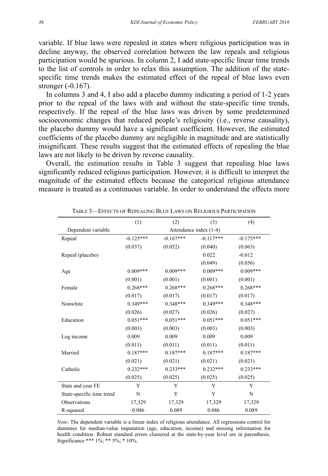variable. If blue laws were repealed in states where religious participation was in decline anyway, the observed correlation between the law repeals and religious participation would be spurious. In column 2, I add state-specific linear time trends to the list of controls in order to relax this assumption. The addition of the statespecific time trends makes the estimated effect of the repeal of blue laws even stronger (-0.167).

In columns 3 and 4, I also add a placebo dummy indicating a period of 1-2 years prior to the repeal of the laws with and without the state-specific time trends, respectively. If the repeal of the blue laws was driven by some predetermined socioeconomic changes that reduced people's religiosity (i.e., reverse causality), the placebo dummy would have a significant coefficient. However, the estimated coefficients of the placebo dummy are negligible in magnitude and are statistically insignificant. These results suggest that the estimated effects of repealing the blue laws are not likely to be driven by reverse causality.

Overall, the estimation results in Table 3 suggest that repealing blue laws significantly reduced religious participation. However, it is difficult to interpret the magnitude of the estimated effects because the categorical religious attendance measure is treated as a continuous variable. In order to understand the effects more

|                           | (1)                    | (2)         | (3)         | (4)         |
|---------------------------|------------------------|-------------|-------------|-------------|
| Dependent variable        | Attendance index (1-4) |             |             |             |
| Repeal                    | $-0.125***$            | $-0.167***$ | $-0.117***$ | $-0.175***$ |
|                           | (0.037)                | (0.052)     | (0.040)     | (0.063)     |
| Repeal (placebo)          |                        |             | 0.022       | $-0.012$    |
|                           |                        |             | (0.049)     | (0.056)     |
| Age                       | $0.009***$             | $0.009***$  | $0.009***$  | $0.009***$  |
|                           | (0.001)                | (0.001)     | (0.001)     | (0.001)     |
| Female                    | $0.268***$             | $0.268***$  | $0.268***$  | $0.268***$  |
|                           | (0.017)                | (0.017)     | (0.017)     | (0.017)     |
| Nonwhite                  | $0.349***$             | $0.348***$  | $0.349***$  | $0.348***$  |
|                           | (0.026)                | (0.027)     | (0.026)     | (0.027)     |
| Education                 | $0.051***$             | $0.051***$  | $0.051***$  | $0.051***$  |
|                           | (0.003)                | (0.003)     | (0.003)     | (0.003)     |
| Log income                | 0.009                  | 0.009       | 0.009       | 0.009       |
|                           | (0.011)                | (0.011)     | (0.011)     | (0.011)     |
| Married                   | $0.187***$             | $0.187***$  | $0.187***$  | $0.187***$  |
|                           | (0.021)                | (0.021)     | (0.021)     | (0.021)     |
| Catholic                  | $0.232***$             | $0.233***$  | $0.232***$  | $0.233***$  |
|                           | (0.025)                | (0.025)     | (0.025)     | (0.025)     |
| State and year FE         | Y                      | Y           | Y           | Y           |
| State-specific time trend | N                      | Y           | Y           | N           |
| <b>Observations</b>       | 17,329                 | 17,329      | 17,329      | 17,329      |
| R-squared                 | 0.086                  | 0.089       | 0.086       | 0.089       |

TABLE 3—EFFECTS OF REPEALING BLUE LAWS ON RELIGIOUS PARTICIPATION

*Note*: The dependent variable is a linear index of religious attendance. All regressions control for dummies for median-value imputation (age, education, income) and missing information for health condition. Robust standard errors clustered at the state-by-year level are in parenthesis. Significance \*\*\* 1%; \*\* 5%; \* 10%.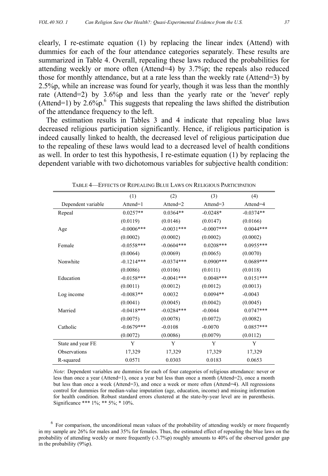clearly, I re-estimate equation (1) by replacing the linear index (Attend) with dummies for each of the four attendance categories separately. These results are summarized in Table 4. Overall, repealing these laws reduced the probabilities for attending weekly or more often (Attend=4) by 3.7%p; the repeals also reduced those for monthly attendance, but at a rate less than the weekly rate (Attend=3) by 2.5%p, while an increase was found for yearly, though it was less than the monthly rate (Attend=2) by 3.6%p and less than the yearly rate or the 'never' reply (Attend=1) by  $2.6\%$ p.<sup>6</sup> This suggests that repealing the laws shifted the distribution of the attendance frequency to the left.

The estimation results in Tables 3 and 4 indicate that repealing blue laws decreased religious participation significantly. Hence, if religious participation is indeed causally linked to health, the decreased level of religious participation due to the repealing of these laws would lead to a decreased level of health conditions as well. In order to test this hypothesis, I re-estimate equation (1) by replacing the dependent variable with two dichotomous variables for subjective health condition:

|                     | (1)               | (2)          | (3)           | (4)         |
|---------------------|-------------------|--------------|---------------|-------------|
| Dependent variable  | $\text{Attend=1}$ | Attend=2     | Attend= $3$   | Attend=4    |
| Repeal              | $0.0257**$        | $0.0364**$   | $-0.0248*$    | $-0.0374**$ |
|                     | (0.0119)          | (0.0146)     | (0.0147)      | (0.0166)    |
| Age                 | $-0.0006***$      | $-0.0031***$ | $-0.0007$ *** | $0.0044***$ |
|                     | (0.0002)          | (0.0002)     | (0.0002)      | (0.0002)    |
| Female              | $-0.0558***$      | $-0.0604***$ | $0.0208***$   | $0.0955***$ |
|                     | (0.0064)          | (0.0069)     | (0.0065)      | (0.0070)    |
| Nonwhite            | $-0.1214***$      | $-0.0374***$ | $0.0900$ ***  | $0.0689***$ |
|                     | (0.0086)          | (0.0106)     | (0.0111)      | (0.0118)    |
| Education           | $-0.0158***$      | $-0.0041***$ | $0.0048***$   | $0.0151***$ |
|                     | (0.0011)          | (0.0012)     | (0.0012)      | (0.0013)    |
| Log income          | $-0.0083**$       | 0.0032       | $0.0094**$    | $-0.0043$   |
|                     | (0.0041)          | (0.0045)     | (0.0042)      | (0.0045)    |
| Married             | $-0.0418***$      | $-0.0284***$ | $-0.0044$     | $0.0747***$ |
|                     | (0.0075)          | (0.0078)     | (0.0072)      | (0.0082)    |
| Catholic            | $-0.0679***$      | $-0.0108$    | $-0.0070$     | $0.0857***$ |
|                     | (0.0072)          | (0.0086)     | (0.0079)      | (0.0112)    |
| State and year FE   | Y                 | Y            | Y             | Y           |
| <b>Observations</b> | 17,329            | 17,329       | 17,329        | 17,329      |
| R-squared           | 0.0571            | 0.0303       | 0.0183        | 0.0653      |

TABLE 4—EFFECTS OF REPEALING BLUE LAWS ON RELIGIOUS PARTICIPATION

*Note*: Dependent variables are dummies for each of four categories of religious attendance: never or less than once a year (Attend=1), once a year but less than once a month (Attend=2), once a month but less than once a week (Attend=3), and once a week or more often (Attend=4). All regressions control for dummies for median-value imputation (age, education, income) and missing information for health condition. Robust standard errors clustered at the state-by-year level are in parenthesis. Significance \*\*\* 1%; \*\* 5%; \* 10%.

 $6$  For comparison, the unconditional mean values of the probability of attending weekly or more frequently in my sample are 26% for males and 35% for females. Thus, the estimated effect of repealing the blue laws on the probability of attending weekly or more frequently (-3.7%p) roughly amounts to 40% of the observed gender gap in the probability (9%p).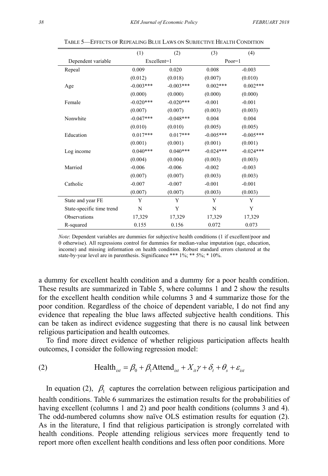|                           | (1)         | (2)         | (3)         | (4)         |
|---------------------------|-------------|-------------|-------------|-------------|
| Dependent variable        | Excellent=1 |             | $Poor=1$    |             |
| Repeal                    | 0.009       | 0.020       | 0.008       | $-0.003$    |
|                           | (0.012)     | (0.018)     | (0.007)     | (0.010)     |
| Age                       | $-0.003***$ | $-0.003***$ | $0.002***$  | $0.002***$  |
|                           | (0.000)     | (0.000)     | (0.000)     | (0.000)     |
| Female                    | $-0.020***$ | $-0.020***$ | $-0.001$    | $-0.001$    |
|                           | (0.007)     | (0.007)     | (0.003)     | (0.003)     |
| Nonwhite                  | $-0.047***$ | $-0.048***$ | 0.004       | 0.004       |
|                           | (0.010)     | (0.010)     | (0.005)     | (0.005)     |
| Education                 | $0.017***$  | $0.017***$  | $-0.005***$ | $-0.005***$ |
|                           | (0.001)     | (0.001)     | (0.001)     | (0.001)     |
| Log income                | $0.040***$  | $0.040***$  | $-0.024***$ | $-0.024***$ |
|                           | (0.004)     | (0.004)     | (0.003)     | (0.003)     |
| Married                   | $-0.006$    | $-0.006$    | $-0.002$    | $-0.003$    |
|                           | (0.007)     | (0.007)     | (0.003)     | (0.003)     |
| Catholic                  | $-0.007$    | $-0.007$    | $-0.001$    | $-0.001$    |
|                           | (0.007)     | (0.007)     | (0.003)     | (0.003)     |
| State and year FE         | Y           | Y           | Y           | Y           |
| State-specific time trend | N           | Y           | N           | Y           |
| <b>Observations</b>       | 17,329      | 17,329      | 17,329      | 17,329      |
| R-squared                 | 0.155       | 0.156       | 0.072       | 0.073       |

TABLE 5—EFFECTS OF REPEALING BLUE LAWS ON SUBJECTIVE HEALTH CONDITION

*Note*: Dependent variables are dummies for subjective health conditions (1 if excellent/poor and 0 otherwise). All regressions control for dummies for median-value imputation (age, education, income) and missing information on health condition. Robust standard errors clustered at the state-by-year level are in parenthesis. Significance \*\*\* 1%; \*\* 5%; \* 10%.

a dummy for excellent health condition and a dummy for a poor health condition. These results are summarized in Table 5, where columns 1 and 2 show the results for the excellent health condition while columns 3 and 4 summarize those for the poor condition. Regardless of the choice of dependent variable, I do not find any evidence that repealing the blue laws affected subjective health conditions. This can be taken as indirect evidence suggesting that there is no causal link between religious participation and health outcomes.

To find more direct evidence of whether religious participation affects health outcomes, I consider the following regression model:

(2) 
$$
\text{Health}_{\text{ist}} = \beta_0 + \beta_1 \text{Attend}_{\text{ist}} + X_{\text{it}} \gamma + \delta_t + \theta_s + \varepsilon_{\text{ist}}
$$

In equation (2),  $\beta_1$  captures the correlation between religious participation and health conditions. Table 6 summarizes the estimation results for the probabilities of having excellent (columns 1 and 2) and poor health conditions (columns 3 and 4). The odd-numbered columns show naïve OLS estimation results for equation (2). As in the literature, I find that religious participation is strongly correlated with health conditions. People attending religious services more frequently tend to report more often excellent health conditions and less often poor conditions. More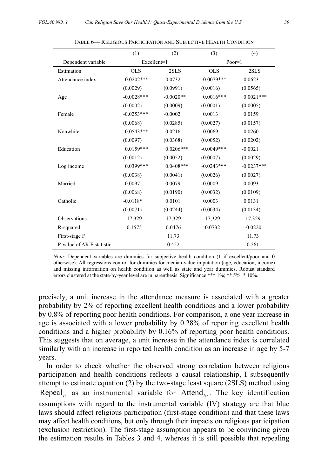|                           | (1)          | (2)         | (3)          | (4)          |
|---------------------------|--------------|-------------|--------------|--------------|
| Dependent variable        | Excellent=1  |             | $Poor=1$     |              |
| Estimation                | <b>OLS</b>   | 2SLS        | <b>OLS</b>   | 2SLS         |
| Attendance index          | $0.0202***$  | $-0.0732$   | $-0.0079***$ | $-0.0623$    |
|                           | (0.0029)     | (0.0991)    | (0.0016)     | (0.0565)     |
| Age                       | $-0.0028***$ | $-0.0020**$ | $0.0016***$  | $0.0021***$  |
|                           | (0.0002)     | (0.0009)    | (0.0001)     | (0.0005)     |
| Female                    | $-0.0253***$ | $-0.0002$   | 0.0013       | 0.0159       |
|                           | (0.0068)     | (0.0285)    | (0.0027)     | (0.0157)     |
| Nonwhite                  | $-0.0543***$ | $-0.0216$   | 0.0069       | 0.0260       |
|                           | (0.0097)     | (0.0368)    | (0.0052)     | (0.0202)     |
| Education                 | $0.0159***$  | $0.0206***$ | $-0.0049***$ | $-0.0021$    |
|                           | (0.0012)     | (0.0052)    | (0.0007)     | (0.0029)     |
| Log income                | $0.0399***$  | $0.0408***$ | $-0.0243***$ | $-0.0237***$ |
|                           | (0.0038)     | (0.0041)    | (0.0026)     | (0.0027)     |
| Married                   | $-0.0097$    | 0.0079      | $-0.0009$    | 0.0093       |
|                           | (0.0068)     | (0.0190)    | (0.0032)     | (0.0109)     |
| Catholic                  | $-0.0118*$   | 0.0101      | 0.0003       | 0.0131       |
|                           | (0.0071)     | (0.0244)    | (0.0034)     | (0.0134)     |
| Observations              | 17.329       | 17,329      | 17,329       | 17,329       |
| R-squared                 | 0.1575       | 0.0476      | 0.0732       | $-0.0220$    |
| First-stage F             |              | 11.73       |              | 11.73        |
| P-value of AR F statistic |              | 0.452       |              | 0.261        |

TABLE 6— RELIGIOUS PARTICIPATION AND SUBJECTIVE HEALTH CONDITION

*Note*: Dependent variables are dummies for subjective health condition (1 if excellent/poor and 0 otherwise). All regressions control for dummies for median-value imputation (age, education, income) and missing information on health condition as well as state and year dummies. Robust standard errors clustered at the state-by-year level are in parenthesis. Significance \*\*\* 1%; \*\* 5%; \* 10%.

precisely, a unit increase in the attendance measure is associated with a greater probability by 2% of reporting excellent health conditions and a lower probability by 0.8% of reporting poor health conditions. For comparison, a one year increase in age is associated with a lower probability by 0.28% of reporting excellent health conditions and a higher probability by 0.16% of reporting poor health conditions. This suggests that on average, a unit increase in the attendance index is correlated similarly with an increase in reported health condition as an increase in age by 5-7 years.

In order to check whether the observed strong correlation between religious participation and health conditions reflects a causal relationship, I subsequently attempt to estimate equation (2) by the two-stage least square (2SLS) method using Repeal<sub>st</sub> as an instrumental variable for Attend<sub>ist</sub>. The key identification assumptions with regard to the instrumental variable (IV) strategy are that blue laws should affect religious participation (first-stage condition) and that these laws may affect health conditions, but only through their impacts on religious participation (exclusion restriction). The first-stage assumption appears to be convincing given the estimation results in Tables 3 and 4, whereas it is still possible that repealing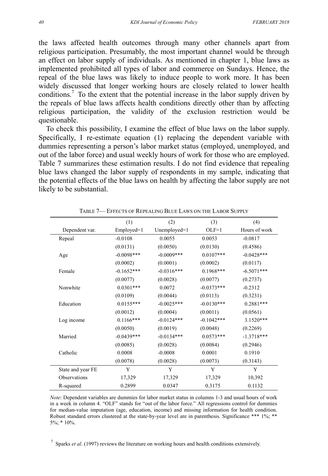the laws affected health outcomes through many other channels apart from religious participation. Presumably, the most important channel would be through an effect on labor supply of individuals. As mentioned in chapter 1, blue laws as implemented prohibited all types of labor and commerce on Sundays. Hence, the repeal of the blue laws was likely to induce people to work more. It has been widely discussed that longer working hours are closely related to lower health conditions.<sup>7</sup> To the extent that the potential increase in the labor supply driven by the repeals of blue laws affects health conditions directly other than by affecting religious participation, the validity of the exclusion restriction would be questionable.

To check this possibility, I examine the effect of blue laws on the labor supply. Specifically, I re-estimate equation (1) replacing the dependent variable with dummies representing a person's labor market status (employed, unemployed, and out of the labor force) and usual weekly hours of work for those who are employed. Table 7 summarizes these estimation results. I do not find evidence that repealing blue laws changed the labor supply of respondents in my sample, indicating that the potential effects of the blue laws on health by affecting the labor supply are not likely to be substantial.

|                     | (1)          | (2)          | (3)          | (4)           |
|---------------------|--------------|--------------|--------------|---------------|
| Dependent var.      | Employed=1   | Unemployed=1 | $OLF=1$      | Hours of work |
| Repeal              | $-0.0108$    | 0.0055       | 0.0053       | $-0.0817$     |
|                     | (0.0131)     | (0.0050)     | (0.0130)     | (0.4586)      |
| Age                 | $-0.0098***$ | $-0.0009***$ | $0.0107***$  | $-0.0428***$  |
|                     | (0.0002)     | (0.0001)     | (0.0002)     | (0.0117)      |
| Female              | $-0.1652***$ | $-0.0316***$ | $0.1968***$  | $-6.5071***$  |
|                     | (0.0077)     | (0.0028)     | (0.0077)     | (0.2737)      |
| Nonwhite            | $0.0301***$  | 0.0072       | $-0.0373***$ | $-0.2312$     |
|                     | (0.0109)     | (0.0044)     | (0.0113)     | (0.3231)      |
| Education           | $0.0155***$  | $-0.0025***$ | $-0.0130***$ | $0.2881***$   |
|                     | (0.0012)     | (0.0004)     | (0.0011)     | (0.0561)      |
| Log income          | $0.1166***$  | $-0.0124***$ | $-0.1042***$ | 3.1520***     |
|                     | (0.0050)     | (0.0019)     | (0.0048)     | (0.2269)      |
| Married             | $-0.0439***$ | $-0.0134***$ | $0.0573***$  | $-1.3718***$  |
|                     | (0.0085)     | (0.0028)     | (0.0084)     | (0.2946)      |
| Catholic            | 0.0008       | $-0.0008$    | 0.0001       | 0.1910        |
|                     | (0.0078)     | (0.0028)     | (0.0073)     | (0.3143)      |
| State and year FE   | Y            | Y            | Y            | Y             |
| <b>Observations</b> | 17,329       | 17,329       | 17,329       | 10,392        |
| R-squared           | 0.2899       | 0.0347       | 0.3175       | 0.1132        |

TABLE 7— EFFECTS OF REPEALING BLUE LAWS ON THE LABOR SUPPLY

*Note*: Dependent variables are dummies for labor market status in columns 1-3 and usual hours of work in a week in column 4. "OLF" stands for "out of the labor force." All regressions control for dummies for median-value imputation (age, education, income) and missing information for health condition. Robust standard errors clustered at the state-by-year level are in parenthesis. Significance \*\*\* 1%; \*\* 5%; \* 10%.

7 Sparks *et al*. (1997) reviews the literature on working hours and health conditions extensively.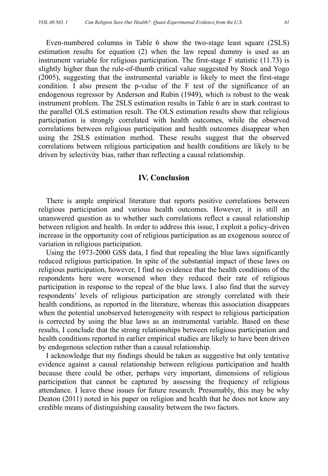Even-numbered columns in Table 6 show the two-stage least square (2SLS) estimation results for equation (2) when the law repeal dummy is used as an instrument variable for religious participation. The first-stage F statistic (11.73) is slightly higher than the rule-of-thumb critical value suggested by Stock and Yogo (2005), suggesting that the instrumental variable is likely to meet the first-stage condition. I also present the p-value of the F test of the significance of an endogenous regressor by Anderson and Rubin (1949), which is robust to the weak instrument problem. The 2SLS estimation results in Table 6 are in stark contrast to the parallel OLS estimation result. The OLS estimation results show that religious participation is strongly correlated with health outcomes, while the observed correlations between religious participation and health outcomes disappear when using the 2SLS estimation method. These results suggest that the observed correlations between religious participation and health conditions are likely to be driven by selectivity bias, rather than reflecting a causal relationship.

#### **IV. Conclusion**

There is ample empirical literature that reports positive correlations between religious participation and various health outcomes. However, it is still an unanswered question as to whether such correlations reflect a causal relationship between religion and health. In order to address this issue, I exploit a policy-driven increase in the opportunity cost of religious participation as an exogenous source of variation in religious participation.

Using the 1973-2000 GSS data, I find that repealing the blue laws significantly reduced religious participation. In spite of the substantial impact of these laws on religious participation, however, I find no evidence that the health conditions of the respondents here were worsened when they reduced their rate of religious participation in response to the repeal of the blue laws. I also find that the survey respondents' levels of religious participation are strongly correlated with their health conditions, as reported in the literature, whereas this association disappears when the potential unobserved heterogeneity with respect to religious participation is corrected by using the blue laws as an instrumental variable. Based on these results, I conclude that the strong relationships between religious participation and health conditions reported in earlier empirical studies are likely to have been driven by endogenous selection rather than a causal relationship.

I acknowledge that my findings should be taken as suggestive but only tentative evidence against a causal relationship between religious participation and health because there could be other, perhaps very important, dimensions of religious participation that cannot be captured by assessing the frequency of religious attendance. I leave these issues for future research. Presumably, this may be why Deaton (2011) noted in his paper on religion and health that he does not know any credible means of distinguishing causality between the two factors.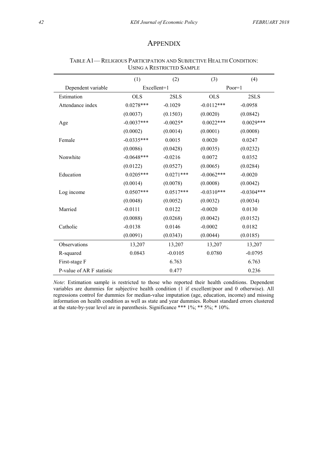#### **APPENDIX**

|                           | (1)          | (2)         | (3)          | (4)          |
|---------------------------|--------------|-------------|--------------|--------------|
| Dependent variable        | Excellent=1  |             | $Poor=1$     |              |
| Estimation                | <b>OLS</b>   | 2SLS        | <b>OLS</b>   | 2SLS         |
| Attendance index          | $0.0278***$  | $-0.1029$   | $-0.0112***$ | $-0.0958$    |
|                           | (0.0037)     | (0.1503)    | (0.0020)     | (0.0842)     |
| Age                       | $-0.0037***$ | $-0.0025*$  | $0.0022***$  | $0.0029***$  |
|                           | (0.0002)     | (0.0014)    | (0.0001)     | (0.0008)     |
| Female                    | $-0.0335***$ | 0.0015      | 0.0020       | 0.0247       |
|                           | (0.0086)     | (0.0428)    | (0.0035)     | (0.0232)     |
| Nonwhite                  | $-0.0648***$ | $-0.0216$   | 0.0072       | 0.0352       |
|                           | (0.0122)     | (0.0527)    | (0.0065)     | (0.0284)     |
| Education                 | $0.0205***$  | $0.0271***$ | $-0.0062***$ | $-0.0020$    |
|                           | (0.0014)     | (0.0078)    | (0.0008)     | (0.0042)     |
| Log income                | $0.0507***$  | $0.0517***$ | $-0.0310***$ | $-0.0304***$ |
|                           | (0.0048)     | (0.0052)    | (0.0032)     | (0.0034)     |
| Married                   | $-0.0111$    | 0.0122      | $-0.0020$    | 0.0130       |
|                           | (0.0088)     | (0.0268)    | (0.0042)     | (0.0152)     |
| Catholic                  | $-0.0138$    | 0.0146      | $-0.0002$    | 0.0182       |
|                           | (0.0091)     | (0.0343)    | (0.0044)     | (0.0185)     |
| Observations              | 13,207       | 13,207      | 13,207       | 13,207       |
| R-squared                 | 0.0843       | $-0.0105$   | 0.0780       | $-0.0795$    |
| First-stage F             |              | 6.763       |              | 6.763        |
| P-value of AR F statistic |              | 0.477       |              | 0.236        |

TABLE A1— RELIGIOUS PARTICIPATION AND SUBJECTIVE HEALTH CONDITION: USING A RESTRICTED SAMPLE

*Note*: Estimation sample is restricted to those who reported their health conditions. Dependent variables are dummies for subjective health condition (1 if excellent/poor and 0 otherwise). All regressions control for dummies for median-value imputation (age, education, income) and missing information on health condition as well as state and year dummies. Robust standard errors clustered at the state-by-year level are in parenthesis. Significance \*\*\* 1%; \*\* 5%; \* 10%.